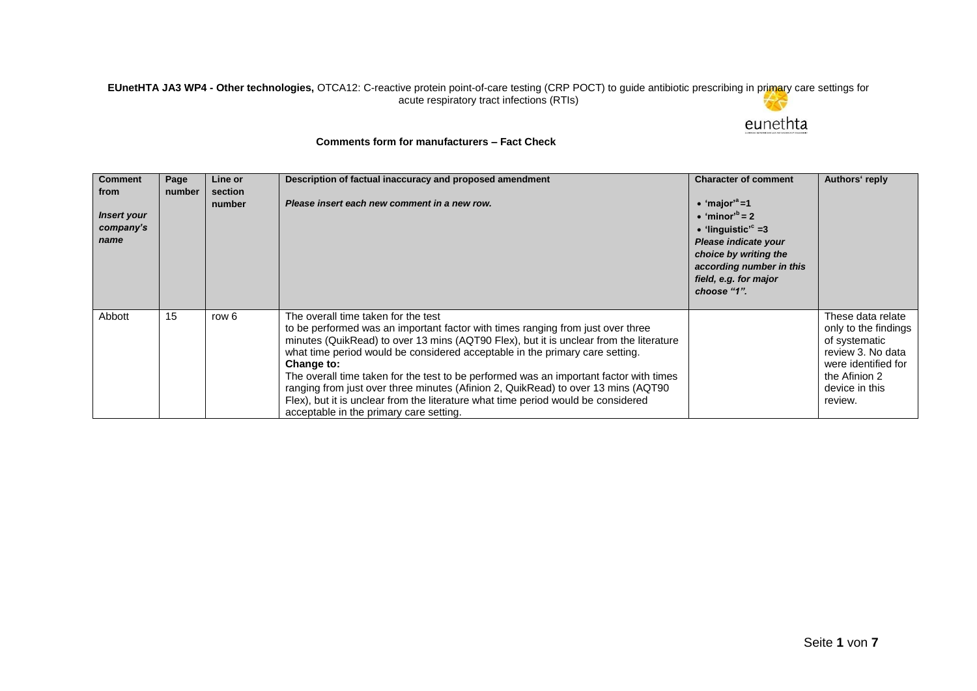## **EUnetHTA JA3 WP4 - Other technologies,** OTCA12: C-reactive protein point-of-care testing (CRP POCT) to guide antibiotic prescribing in primary care settings for acute respiratory tract infections (RTIs)

## eunethta

## **Comments form for manufacturers – Fact Check**

| <b>Comment</b><br>from<br><b>Insert your</b><br>company's<br>name | Page<br>number | Line or<br>section<br>number | Description of factual inaccuracy and proposed amendment<br>Please insert each new comment in a new row.                                                                                                                                                                                                                                                                                                                                                                                                                                                                                                                      | <b>Character of comment</b><br>• 'major' <sup>a</sup> =1<br>$\bullet$ 'minor' <sup>b</sup> = 2<br>• 'linguistic' <sup>c</sup> =3<br>Please indicate your<br>choice by writing the<br>according number in this<br>field, e.g. for major<br>choose "1". | Authors' reply                                                                                                                                       |
|-------------------------------------------------------------------|----------------|------------------------------|-------------------------------------------------------------------------------------------------------------------------------------------------------------------------------------------------------------------------------------------------------------------------------------------------------------------------------------------------------------------------------------------------------------------------------------------------------------------------------------------------------------------------------------------------------------------------------------------------------------------------------|-------------------------------------------------------------------------------------------------------------------------------------------------------------------------------------------------------------------------------------------------------|------------------------------------------------------------------------------------------------------------------------------------------------------|
| Abbott                                                            | 15             | row 6                        | The overall time taken for the test<br>to be performed was an important factor with times ranging from just over three<br>minutes (QuikRead) to over 13 mins (AQT90 Flex), but it is unclear from the literature<br>what time period would be considered acceptable in the primary care setting.<br>Change to:<br>The overall time taken for the test to be performed was an important factor with times<br>ranging from just over three minutes (Afinion 2, QuikRead) to over 13 mins (AQT90<br>Flex), but it is unclear from the literature what time period would be considered<br>acceptable in the primary care setting. |                                                                                                                                                                                                                                                       | These data relate<br>only to the findings<br>of systematic<br>review 3. No data<br>were identified for<br>the Afinion 2<br>device in this<br>review. |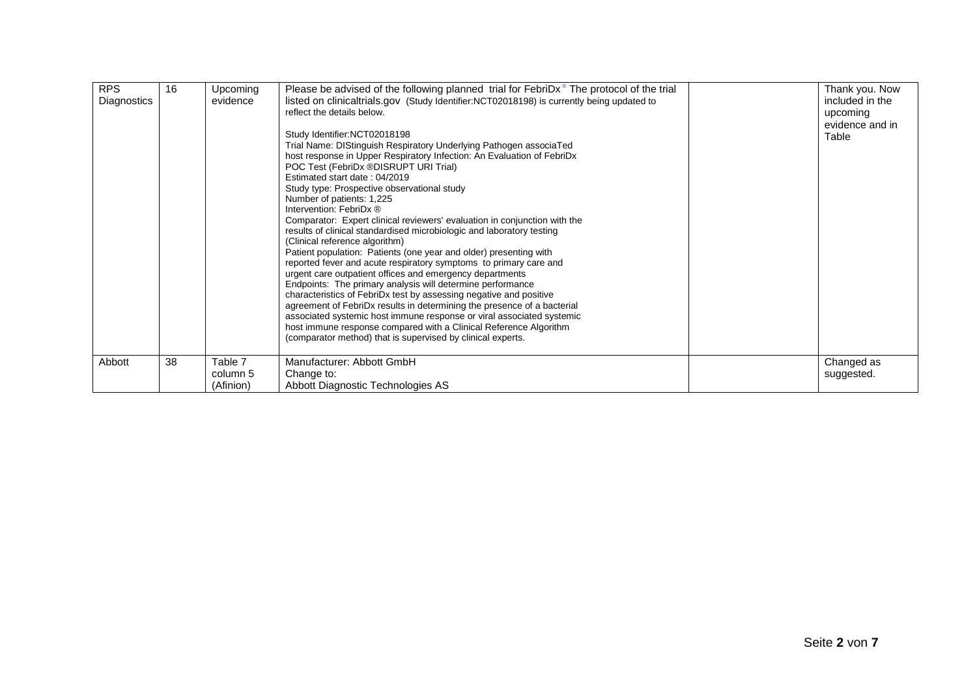| <b>RPS</b><br>Diagnostics | 16 | Upcoming<br>evidence             | Please be advised of the following planned trial for FebriD $x^{\circ}$ The protocol of the trial<br>listed on clinicaltrials.gov (Study Identifier:NCT02018198) is currently being updated to<br>reflect the details below.<br>Study Identifier:NCT02018198<br>Trial Name: DIStinguish Respiratory Underlying Pathogen associaTed<br>host response in Upper Respiratory Infection: An Evaluation of FebriDx<br>POC Test (FebriDx ®DISRUPT URI Trial)<br>Estimated start date: 04/2019<br>Study type: Prospective observational study<br>Number of patients: 1,225<br>Intervention: FebriDx ®<br>Comparator: Expert clinical reviewers' evaluation in conjunction with the<br>results of clinical standardised microbiologic and laboratory testing<br>(Clinical reference algorithm)<br>Patient population: Patients (one year and older) presenting with<br>reported fever and acute respiratory symptoms to primary care and<br>urgent care outpatient offices and emergency departments<br>Endpoints: The primary analysis will determine performance<br>characteristics of FebriDx test by assessing negative and positive<br>agreement of FebriDx results in determining the presence of a bacterial<br>associated systemic host immune response or viral associated systemic<br>host immune response compared with a Clinical Reference Algorithm<br>(comparator method) that is supervised by clinical experts. | Thank you. Now<br>included in the<br>upcoming<br>evidence and in<br>Table |
|---------------------------|----|----------------------------------|-------------------------------------------------------------------------------------------------------------------------------------------------------------------------------------------------------------------------------------------------------------------------------------------------------------------------------------------------------------------------------------------------------------------------------------------------------------------------------------------------------------------------------------------------------------------------------------------------------------------------------------------------------------------------------------------------------------------------------------------------------------------------------------------------------------------------------------------------------------------------------------------------------------------------------------------------------------------------------------------------------------------------------------------------------------------------------------------------------------------------------------------------------------------------------------------------------------------------------------------------------------------------------------------------------------------------------------------------------------------------------------------------------------------------|---------------------------------------------------------------------------|
| Abbott                    | 38 | Table 7<br>column 5<br>(Afinion) | Manufacturer: Abbott GmbH<br>Change to:<br>Abbott Diagnostic Technologies AS                                                                                                                                                                                                                                                                                                                                                                                                                                                                                                                                                                                                                                                                                                                                                                                                                                                                                                                                                                                                                                                                                                                                                                                                                                                                                                                                            | Changed as<br>suggested.                                                  |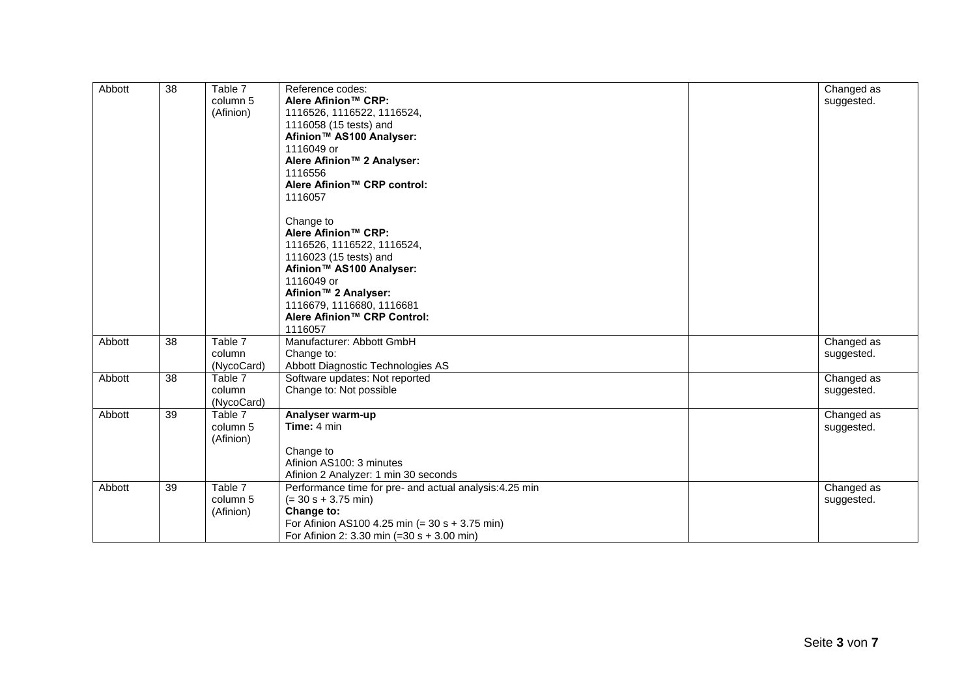| Abbott | 38 | Table 7    | Reference codes:                                        | Changed as |
|--------|----|------------|---------------------------------------------------------|------------|
|        |    | column 5   | Alere Afinion <sup>™</sup> CRP:                         | suggested. |
|        |    | (Afinion)  | 1116526, 1116522, 1116524,                              |            |
|        |    |            | 1116058 (15 tests) and                                  |            |
|        |    |            | Afinion <sup>™</sup> AS100 Analyser:                    |            |
|        |    |            | 1116049 or                                              |            |
|        |    |            | Alere Afinion <sup>™</sup> 2 Analyser:                  |            |
|        |    |            | 1116556                                                 |            |
|        |    |            | Alere Afinion <sup>™</sup> CRP control:                 |            |
|        |    |            | 1116057                                                 |            |
|        |    |            | Change to                                               |            |
|        |    |            | Alere Afinion™ CRP:                                     |            |
|        |    |            | 1116526, 1116522, 1116524,                              |            |
|        |    |            | 1116023 (15 tests) and                                  |            |
|        |    |            | Afinion <sup>™</sup> AS100 Analyser:                    |            |
|        |    |            | 1116049 or                                              |            |
|        |    |            | Afinion <sup>™</sup> 2 Analyser:                        |            |
|        |    |            |                                                         |            |
|        |    |            | 1116679, 1116680, 1116681                               |            |
|        |    |            | Alere Afinion™ CRP Control:                             |            |
|        |    |            | 1116057                                                 |            |
| Abbott | 38 | Table 7    | Manufacturer: Abbott GmbH                               | Changed as |
|        |    | column     | Change to:                                              | suggested. |
|        |    | (NycoCard) | Abbott Diagnostic Technologies AS                       |            |
| Abbott | 38 | Table 7    | Software updates: Not reported                          | Changed as |
|        |    | column     | Change to: Not possible                                 | suggested. |
|        |    | (NycoCard) |                                                         |            |
| Abbott | 39 | Table 7    | Analyser warm-up                                        | Changed as |
|        |    | column 5   | Time: 4 min                                             | suggested. |
|        |    | (Afinion)  |                                                         |            |
|        |    |            | Change to                                               |            |
|        |    |            | Afinion AS100: 3 minutes                                |            |
|        |    |            | Afinion 2 Analyzer: 1 min 30 seconds                    |            |
| Abbott | 39 | Table 7    | Performance time for pre- and actual analysis: 4.25 min | Changed as |
|        |    | column 5   | $(= 30 s + 3.75 m)$                                     | suggested. |
|        |    | (Afinion)  | Change to:                                              |            |
|        |    |            | For Afinion AS100 4.25 min (= $30 s + 3.75$ min)        |            |
|        |    |            | For Afinion 2: 3.30 min (=30 s + 3.00 min)              |            |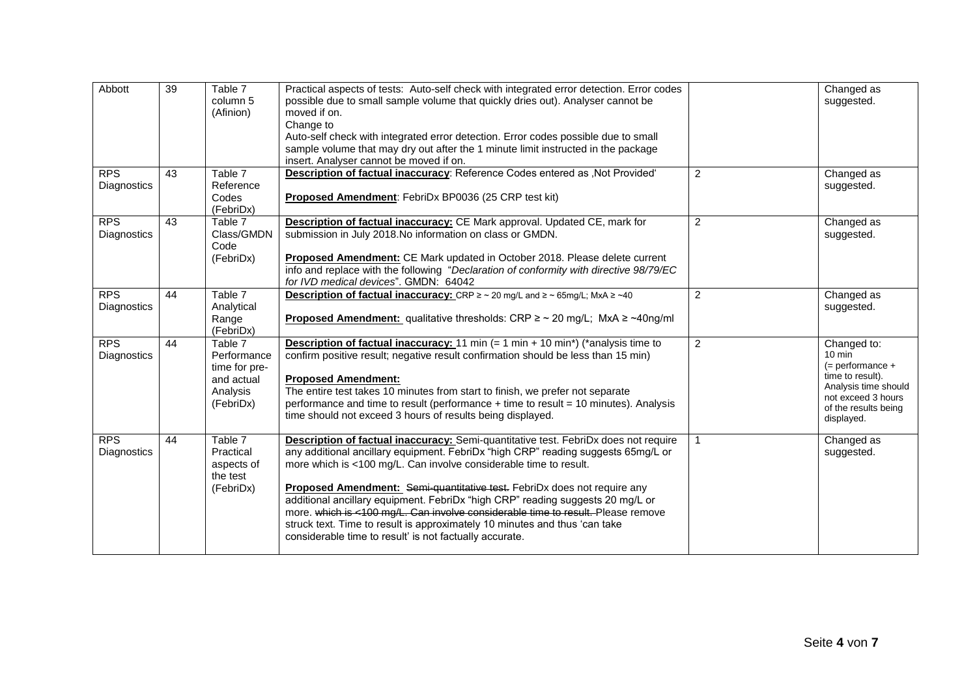| Abbott                    | 39 | Table 7<br>column 5<br>(Afinion)                                               | Practical aspects of tests: Auto-self check with integrated error detection. Error codes<br>possible due to small sample volume that quickly dries out). Analyser cannot be<br>moved if on.<br>Change to<br>Auto-self check with integrated error detection. Error codes possible due to small<br>sample volume that may dry out after the 1 minute limit instructed in the package<br>insert. Analyser cannot be moved if on.                                                                                                                                                                                                                  |                | Changed as<br>suggested.                                                                                                                                        |
|---------------------------|----|--------------------------------------------------------------------------------|-------------------------------------------------------------------------------------------------------------------------------------------------------------------------------------------------------------------------------------------------------------------------------------------------------------------------------------------------------------------------------------------------------------------------------------------------------------------------------------------------------------------------------------------------------------------------------------------------------------------------------------------------|----------------|-----------------------------------------------------------------------------------------------------------------------------------------------------------------|
| <b>RPS</b><br>Diagnostics | 43 | Table 7<br>Reference<br>Codes<br>(FebriDx)                                     | Description of factual inaccuracy: Reference Codes entered as , Not Provided'<br>Proposed Amendment: FebriDx BP0036 (25 CRP test kit)                                                                                                                                                                                                                                                                                                                                                                                                                                                                                                           | $\overline{2}$ | Changed as<br>suggested.                                                                                                                                        |
| <b>RPS</b><br>Diagnostics | 43 | Table 7<br>Class/GMDN<br>Code<br>(FebriDx)                                     | Description of factual inaccuracy: CE Mark approval. Updated CE, mark for<br>submission in July 2018. No information on class or GMDN.<br>Proposed Amendment: CE Mark updated in October 2018. Please delete current<br>info and replace with the following "Declaration of conformity with directive 98/79/EC<br>for IVD medical devices". GMDN: 64042                                                                                                                                                                                                                                                                                         | 2              | Changed as<br>suggested.                                                                                                                                        |
| <b>RPS</b><br>Diagnostics | 44 | Table 7<br>Analytical<br>Range<br>(FebriDx)                                    | <b>Description of factual inaccuracy:</b> CRP $\geq$ ~ 20 mg/L and $\geq$ ~ 65mg/L; MxA $\geq$ ~40<br><b>Proposed Amendment:</b> qualitative thresholds: CRP $\geq$ ~ 20 mg/L; MxA $\geq$ ~40ng/ml                                                                                                                                                                                                                                                                                                                                                                                                                                              | $\overline{2}$ | Changed as<br>suggested.                                                                                                                                        |
| <b>RPS</b><br>Diagnostics | 44 | Table 7<br>Performance<br>time for pre-<br>and actual<br>Analysis<br>(FebriDx) | <b>Description of factual inaccuracy:</b> 11 min $(= 1 \text{ min} + 10 \text{ min}^*)$ (*analysis time to<br>confirm positive result; negative result confirmation should be less than 15 min)<br><b>Proposed Amendment:</b><br>The entire test takes 10 minutes from start to finish, we prefer not separate<br>performance and time to result (performance + time to result = 10 minutes). Analysis<br>time should not exceed 3 hours of results being displayed.                                                                                                                                                                            | $\overline{2}$ | Changed to:<br>$10 \text{ min}$<br>$(=$ performance $+$<br>time to result).<br>Analysis time should<br>not exceed 3 hours<br>of the results being<br>displayed. |
| <b>RPS</b><br>Diagnostics | 44 | Table 7<br>Practical<br>aspects of<br>the test<br>(FebriDx)                    | <b>Description of factual inaccuracy:</b> Semi-quantitative test. FebriDx does not require<br>any additional ancillary equipment. FebriDx "high CRP" reading suggests 65mg/L or<br>more which is <100 mg/L. Can involve considerable time to result.<br>Proposed Amendment: Semi-quantitative test. FebriDx does not require any<br>additional ancillary equipment. FebriDx "high CRP" reading suggests 20 mg/L or<br>more. which is <100 mg/L. Can involve considerable time to result. Please remove<br>struck text. Time to result is approximately 10 minutes and thus 'can take<br>considerable time to result' is not factually accurate. |                | Changed as<br>suggested.                                                                                                                                        |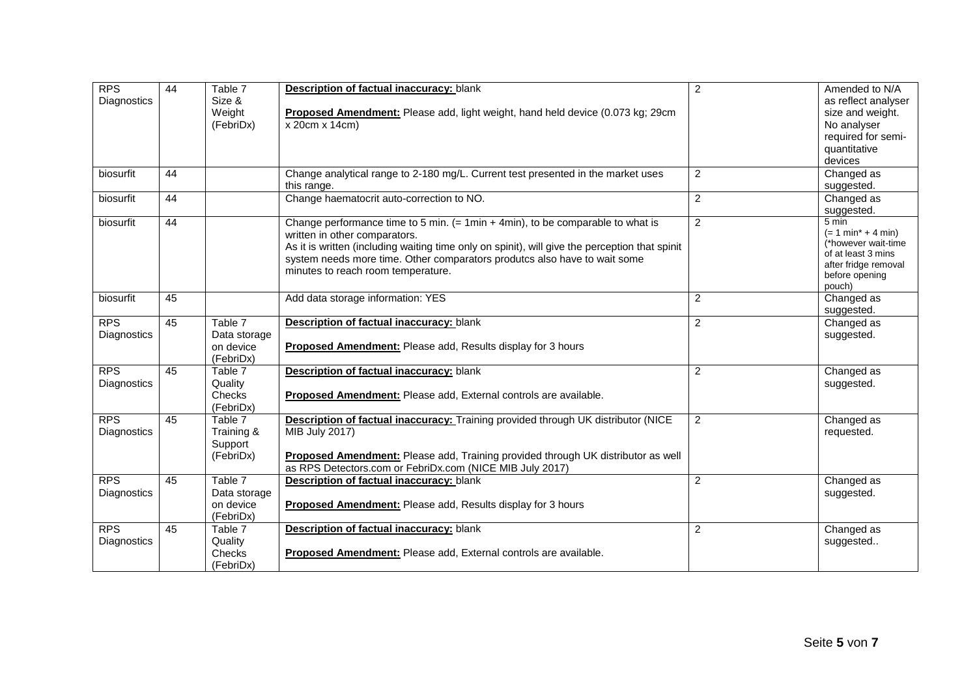| <b>RPS</b><br>Diagnostics | 44 | Table 7<br>Size &<br>Weight<br>(FebriDx)          | Description of factual inaccuracy: blank<br>Proposed Amendment: Please add, light weight, hand held device (0.073 kg; 29cm<br>x 20cm x 14cm)                                                                                                                                                                                         | $\overline{c}$ | Amended to N/A<br>as reflect analyser<br>size and weight.<br>No analyser<br>required for semi-<br>quantitative<br>devices      |
|---------------------------|----|---------------------------------------------------|--------------------------------------------------------------------------------------------------------------------------------------------------------------------------------------------------------------------------------------------------------------------------------------------------------------------------------------|----------------|--------------------------------------------------------------------------------------------------------------------------------|
| biosurfit                 | 44 |                                                   | Change analytical range to 2-180 mg/L. Current test presented in the market uses<br>this range.                                                                                                                                                                                                                                      | $\overline{2}$ | Changed as<br>suggested.                                                                                                       |
| biosurfit                 | 44 |                                                   | Change haematocrit auto-correction to NO.                                                                                                                                                                                                                                                                                            | $\overline{c}$ | Changed as<br>suggested.                                                                                                       |
| biosurfit                 | 44 |                                                   | Change performance time to 5 min. (= 1min + 4min), to be comparable to what is<br>written in other comparators.<br>As it is written (including waiting time only on spinit), will give the perception that spinit<br>system needs more time. Other comparators produtcs also have to wait some<br>minutes to reach room temperature. | $\overline{2}$ | 5 min<br>$(= 1 min* + 4 min)$<br>(*however wait-time<br>of at least 3 mins<br>after fridge removal<br>before opening<br>pouch) |
| biosurfit                 | 45 |                                                   | Add data storage information: YES                                                                                                                                                                                                                                                                                                    | $\overline{2}$ | Changed as<br>suggested.                                                                                                       |
| <b>RPS</b><br>Diagnostics | 45 | Table 7<br>Data storage<br>on device<br>(FebriDx) | <b>Description of factual inaccuracy: blank</b><br>Proposed Amendment: Please add, Results display for 3 hours                                                                                                                                                                                                                       | $\overline{2}$ | Changed as<br>suggested.                                                                                                       |
| <b>RPS</b><br>Diagnostics | 45 | Table 7<br>Quality<br>Checks<br>(FebriDx)         | Description of factual inaccuracy: blank<br>Proposed Amendment: Please add, External controls are available.                                                                                                                                                                                                                         | $\overline{2}$ | Changed as<br>suggested.                                                                                                       |
| <b>RPS</b><br>Diagnostics | 45 | Table 7<br>Training &<br>Support<br>(FebriDx)     | Description of factual inaccuracy: Training provided through UK distributor (NICE<br><b>MIB July 2017)</b><br>Proposed Amendment: Please add, Training provided through UK distributor as well<br>as RPS Detectors.com or FebriDx.com (NICE MIB July 2017)                                                                           | $\overline{2}$ | Changed as<br>requested.                                                                                                       |
| <b>RPS</b><br>Diagnostics | 45 | Table 7<br>Data storage<br>on device<br>(FebriDx) | <b>Description of factual inaccuracy: blank</b><br>Proposed Amendment: Please add, Results display for 3 hours                                                                                                                                                                                                                       | $\overline{2}$ | Changed as<br>suggested.                                                                                                       |
| <b>RPS</b><br>Diagnostics | 45 | Table 7<br>Quality<br>Checks<br>(FebriDx)         | Description of factual inaccuracy: blank<br>Proposed Amendment: Please add, External controls are available.                                                                                                                                                                                                                         | $\overline{2}$ | Changed as<br>suggested                                                                                                        |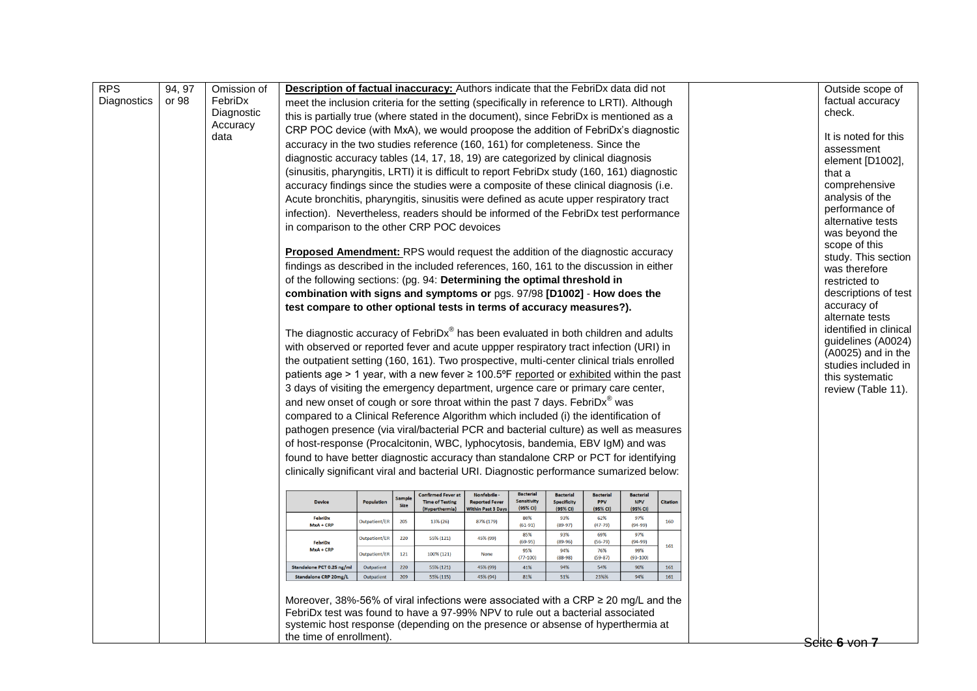| <b>RPS</b>  | 94, 97 | Omission of | Description of factual inaccuracy: Authors indicate that the FebriDx data did not                           |                      |      |                                          |                                            |                         |                                |                        |                        |                 | Outside scope of                     |
|-------------|--------|-------------|-------------------------------------------------------------------------------------------------------------|----------------------|------|------------------------------------------|--------------------------------------------|-------------------------|--------------------------------|------------------------|------------------------|-----------------|--------------------------------------|
| Diagnostics | or 98  | FebriDx     |                                                                                                             |                      |      |                                          |                                            |                         |                                |                        |                        |                 | factual accuracy                     |
|             |        | Diagnostic  | meet the inclusion criteria for the setting (specifically in reference to LRTI). Although                   |                      |      |                                          |                                            |                         |                                |                        |                        |                 | check.                               |
|             |        | Accuracy    | this is partially true (where stated in the document), since FebriDx is mentioned as a                      |                      |      |                                          |                                            |                         |                                |                        |                        |                 |                                      |
|             |        | data        | CRP POC device (with MxA), we would proopose the addition of FebriDx's diagnostic                           |                      |      |                                          |                                            |                         |                                |                        |                        |                 | It is noted for this                 |
|             |        |             | accuracy in the two studies reference (160, 161) for completeness. Since the                                |                      |      |                                          |                                            |                         |                                |                        |                        |                 | assessment                           |
|             |        |             | diagnostic accuracy tables (14, 17, 18, 19) are categorized by clinical diagnosis                           |                      |      |                                          |                                            |                         |                                |                        |                        |                 | element [D1002],                     |
|             |        |             | (sinusitis, pharyngitis, LRTI) it is difficult to report FebriDx study (160, 161) diagnostic                |                      |      |                                          |                                            |                         |                                |                        |                        |                 | that a                               |
|             |        |             | accuracy findings since the studies were a composite of these clinical diagnosis (i.e.                      |                      |      |                                          |                                            |                         |                                |                        |                        |                 | comprehensive                        |
|             |        |             | Acute bronchitis, pharyngitis, sinusitis were defined as acute upper respiratory tract                      |                      |      |                                          |                                            |                         |                                |                        |                        |                 | analysis of the                      |
|             |        |             | infection). Nevertheless, readers should be informed of the FebriDx test performance                        |                      |      |                                          |                                            |                         |                                |                        |                        |                 | performance of                       |
|             |        |             |                                                                                                             |                      |      |                                          |                                            |                         |                                |                        |                        |                 | alternative tests                    |
|             |        |             | in comparison to the other CRP POC devoices                                                                 |                      |      |                                          |                                            |                         |                                |                        |                        |                 | was beyond the                       |
|             |        |             | <b>Proposed Amendment:</b> RPS would request the addition of the diagnostic accuracy                        |                      |      |                                          |                                            |                         |                                |                        |                        |                 | scope of this<br>study. This section |
|             |        |             | findings as described in the included references, 160, 161 to the discussion in either                      |                      |      |                                          |                                            |                         |                                |                        |                        |                 | was therefore                        |
|             |        |             | of the following sections: (pg. 94: Determining the optimal threshold in                                    |                      |      |                                          |                                            |                         |                                |                        |                        |                 | restricted to                        |
|             |        |             | combination with signs and symptoms or pgs. 97/98 [D1002] - How does the                                    |                      |      |                                          |                                            |                         |                                |                        |                        |                 | descriptions of test                 |
|             |        |             | test compare to other optional tests in terms of accuracy measures?).                                       |                      |      |                                          |                                            |                         |                                |                        |                        |                 | accuracy of                          |
|             |        |             |                                                                                                             |                      |      |                                          |                                            |                         |                                |                        |                        |                 | alternate tests                      |
|             |        |             | The diagnostic accuracy of FebriDx <sup>®</sup> has been evaluated in both children and adults              |                      |      |                                          |                                            |                         |                                |                        |                        |                 | identified in clinical               |
|             |        |             | with observed or reported fever and acute uppper respiratory tract infection (URI) in                       |                      |      |                                          |                                            |                         |                                |                        |                        |                 | guidelines (A0024)                   |
|             |        |             | the outpatient setting (160, 161). Two prospective, multi-center clinical trials enrolled                   |                      |      |                                          |                                            |                         |                                |                        |                        |                 | (A0025) and in the                   |
|             |        |             |                                                                                                             |                      |      |                                          |                                            |                         |                                |                        |                        |                 | studies included in                  |
|             |        |             | patients age > 1 year, with a new fever $\geq 100.5^{\circ}$ F reported or exhibited within the past        |                      |      |                                          |                                            |                         |                                |                        |                        |                 | this systematic                      |
|             |        |             | 3 days of visiting the emergency department, urgence care or primary care center,                           |                      |      |                                          |                                            |                         |                                |                        |                        |                 | review (Table 11).                   |
|             |        |             | and new onset of cough or sore throat within the past 7 days. FebriDx <sup>®</sup> was                      |                      |      |                                          |                                            |                         |                                |                        |                        |                 |                                      |
|             |        |             | compared to a Clinical Reference Algorithm which included (i) the identification of                         |                      |      |                                          |                                            |                         |                                |                        |                        |                 |                                      |
|             |        |             | pathogen presence (via viral/bacterial PCR and bacterial culture) as well as measures                       |                      |      |                                          |                                            |                         |                                |                        |                        |                 |                                      |
|             |        |             | of host-response (Procalcitonin, WBC, lyphocytosis, bandemia, EBV IgM) and was                              |                      |      |                                          |                                            |                         |                                |                        |                        |                 |                                      |
|             |        |             | found to have better diagnostic accuracy than standalone CRP or PCT for identifying                         |                      |      |                                          |                                            |                         |                                |                        |                        |                 |                                      |
|             |        |             | clinically significant viral and bacterial URI. Diagnostic performance sumarized below:                     |                      |      |                                          |                                            |                         |                                |                        |                        |                 |                                      |
|             |        |             |                                                                                                             |                      |      | <b>Confirmed Fever at</b>                | Nonfebrile -                               | <b>Bacterial</b>        | <b>Bacterial</b>               | <b>Bacterial</b>       | <b>Bacterial</b>       |                 |                                      |
|             |        |             | <b>Device</b>                                                                                               | <b>Population</b>    | Samp | <b>Time of Testing</b><br>(Hyperthermia) | <b>Reported Fever</b><br>Vithin Past 3 Day | Sensitivity<br>(95% CI) | <b>Specificity</b><br>(95% CI) | <b>PPV</b><br>(95% CI) | <b>NPV</b><br>(95% CI) | <b>Citation</b> |                                      |
|             |        |             | FebriDx<br>$MxA + CRP$                                                                                      | <b>Outpatient/ER</b> | 205  | 13% (26)                                 | 87% (179)                                  | 80%<br>$(61-91)$        | 93%<br>$(89-97)$               | 62%<br>$(47 - 79)$     | 97%<br>$(94-99)$       | 160             |                                      |
|             |        |             | FebriDx                                                                                                     | Outpatient/ER        | 220  | 55% (121)                                | 45% (99)                                   | 85%<br>$(69-95)$        | 93%<br>$(89-96)$               | 69%<br>$(56-79)$       | 97%<br>$(94-99)$       |                 |                                      |
|             |        |             | $MxA + CRP$                                                                                                 | Outpatient/ER        | 121  | 100% (121)                               | None                                       | 95%<br>$(77-100)$       | 94%<br>$(88-98)$               | 76%<br>$(59-87)$       | 99%<br>$(93-100)$      | 161             |                                      |
|             |        |             | Standalone PCT 0.25 ng/ml                                                                                   | Outpatient           | 220  | 55% (121)                                | 45% (99)                                   | 41%                     | 94%                            | 54%                    | 90%                    | 161             |                                      |
|             |        |             | Standalone CRP 20mg/L                                                                                       | Outpatient           | 209  | 55% (115)                                | 45% (94)                                   | 81%                     | 51%                            | 23%%                   | 94%                    | 161             |                                      |
|             |        |             |                                                                                                             |                      |      |                                          |                                            |                         |                                |                        |                        |                 |                                      |
|             |        |             | Moreover, 38%-56% of viral infections were associated with a CRP $\geq$ 20 mg/L and the                     |                      |      |                                          |                                            |                         |                                |                        |                        |                 |                                      |
|             |        |             | FebriDx test was found to have a 97-99% NPV to rule out a bacterial associated                              |                      |      |                                          |                                            |                         |                                |                        |                        |                 |                                      |
|             |        |             | systemic host response (depending on the presence or absense of hyperthermia at<br>the time of enrollment). |                      |      |                                          |                                            |                         |                                |                        |                        |                 |                                      |
|             |        |             |                                                                                                             |                      |      |                                          |                                            |                         |                                |                        |                        |                 | Seite 6 von 7                        |